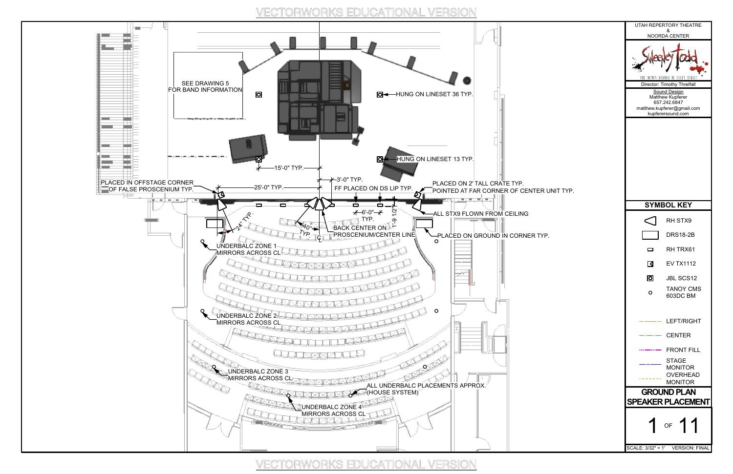

| NOORDA CENTER<br>THE DEMON BARBER OF FLEET STREET<br>Director: Timothy Threlfall<br>Sound Design<br>Matthew Kupferer<br>657.242.6847<br>matthew.kupferer@gmail.com<br>kupferersound.com<br><b>UNIT TYP.</b><br><b>SYMBOL KEY</b><br>RH STX9<br><b>DRS18-2B</b><br>RH TRX61<br>0<br><b>EV TX1112</b><br>$\blacksquare$<br>0<br>JBL SCS12<br>TANOY CMS<br>$\circ$<br>603DC BM<br>LEFT/RIGHT<br><b>CENTER</b><br><b>FRONT FILL</b><br><b>STAGE</b><br><b>MONITOR</b><br><b>OVERHEAD</b><br><b>MONITOR</b><br><b>GROUND PLAN</b><br><b>SPEAKER PLACEMENT</b><br>OF $11$<br>SCALE: 3/32" = 1' VERSION: FINAL |    | UTAH REPERTORY THEATRE |  |  |
|---------------------------------------------------------------------------------------------------------------------------------------------------------------------------------------------------------------------------------------------------------------------------------------------------------------------------------------------------------------------------------------------------------------------------------------------------------------------------------------------------------------------------------------------------------------------------------------------------------|----|------------------------|--|--|
|                                                                                                                                                                                                                                                                                                                                                                                                                                                                                                                                                                                                         |    | &                      |  |  |
|                                                                                                                                                                                                                                                                                                                                                                                                                                                                                                                                                                                                         |    |                        |  |  |
|                                                                                                                                                                                                                                                                                                                                                                                                                                                                                                                                                                                                         |    |                        |  |  |
|                                                                                                                                                                                                                                                                                                                                                                                                                                                                                                                                                                                                         |    |                        |  |  |
|                                                                                                                                                                                                                                                                                                                                                                                                                                                                                                                                                                                                         |    |                        |  |  |
|                                                                                                                                                                                                                                                                                                                                                                                                                                                                                                                                                                                                         |    |                        |  |  |
|                                                                                                                                                                                                                                                                                                                                                                                                                                                                                                                                                                                                         |    |                        |  |  |
|                                                                                                                                                                                                                                                                                                                                                                                                                                                                                                                                                                                                         | Έ. |                        |  |  |
|                                                                                                                                                                                                                                                                                                                                                                                                                                                                                                                                                                                                         |    |                        |  |  |
|                                                                                                                                                                                                                                                                                                                                                                                                                                                                                                                                                                                                         |    |                        |  |  |
|                                                                                                                                                                                                                                                                                                                                                                                                                                                                                                                                                                                                         |    |                        |  |  |
|                                                                                                                                                                                                                                                                                                                                                                                                                                                                                                                                                                                                         |    |                        |  |  |
|                                                                                                                                                                                                                                                                                                                                                                                                                                                                                                                                                                                                         |    |                        |  |  |
|                                                                                                                                                                                                                                                                                                                                                                                                                                                                                                                                                                                                         |    |                        |  |  |
|                                                                                                                                                                                                                                                                                                                                                                                                                                                                                                                                                                                                         |    |                        |  |  |
|                                                                                                                                                                                                                                                                                                                                                                                                                                                                                                                                                                                                         |    |                        |  |  |
|                                                                                                                                                                                                                                                                                                                                                                                                                                                                                                                                                                                                         |    |                        |  |  |
|                                                                                                                                                                                                                                                                                                                                                                                                                                                                                                                                                                                                         |    |                        |  |  |
|                                                                                                                                                                                                                                                                                                                                                                                                                                                                                                                                                                                                         |    |                        |  |  |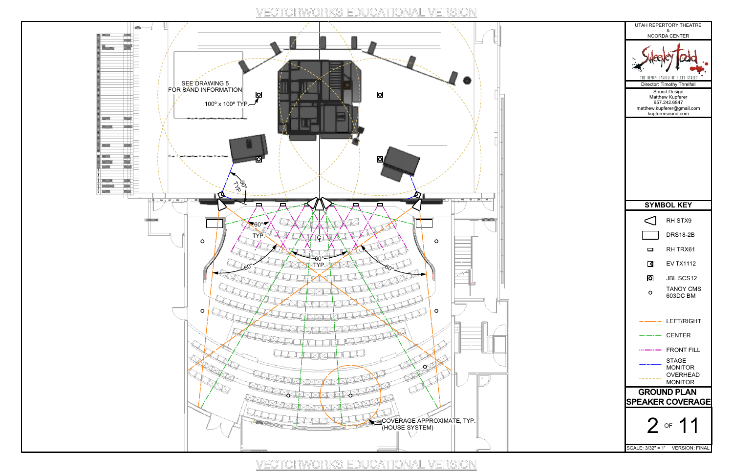

VECTORWORKS EDUCATIONAL VERSION

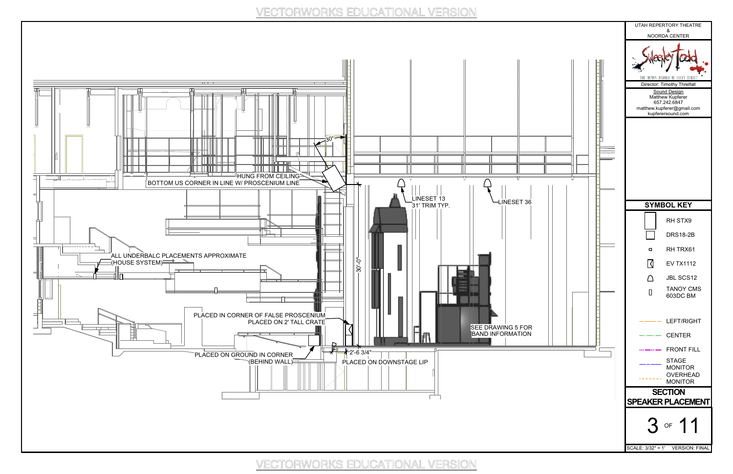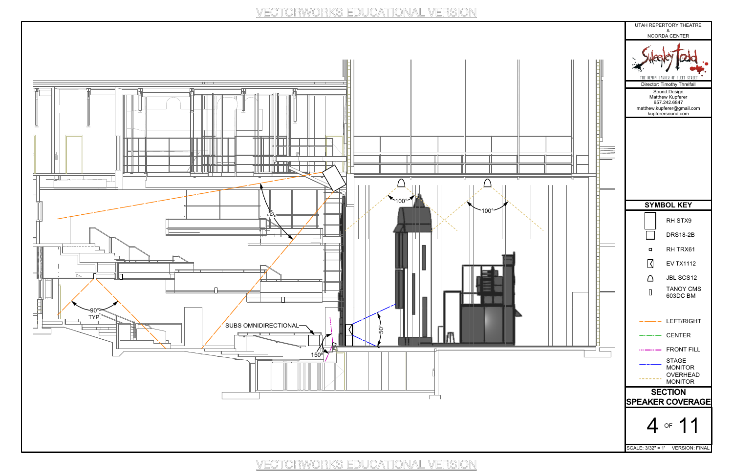

H 11 -Ħ  $\Box$ 1 || || ILILLE **THE LEADER** كالكالى بالاتالات الاتا  $\| \|$  $\triangle$  $\triangle$ 100° 100° ኢ Гþ  $\overline{\phantom{0}}$ 90° TYP. SUBS OMNIDIRECTIONAL  $\overline{1}$ 50°  $\frac{150^{\circ}}{150^{\circ}}$ 근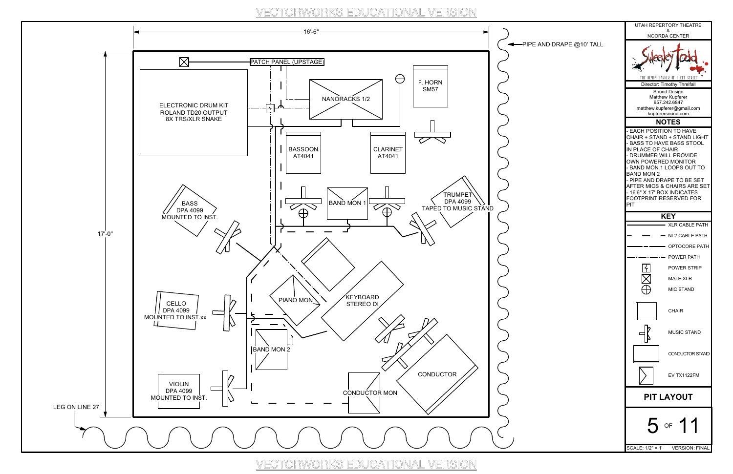

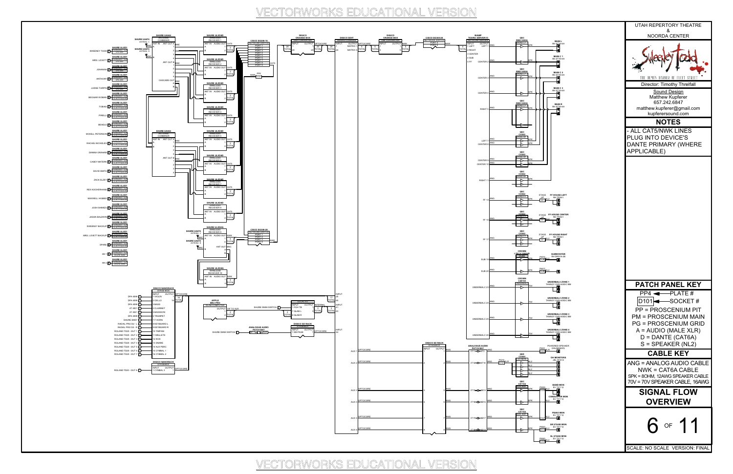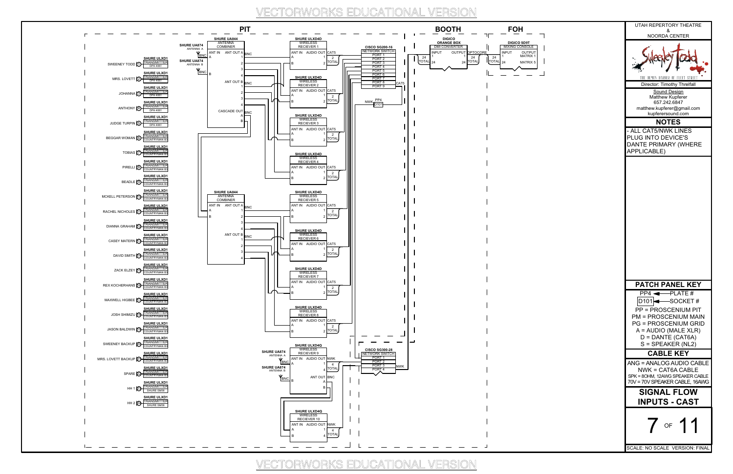

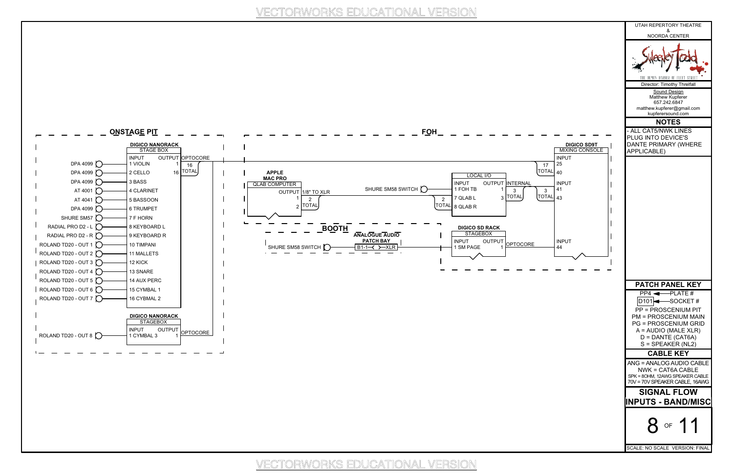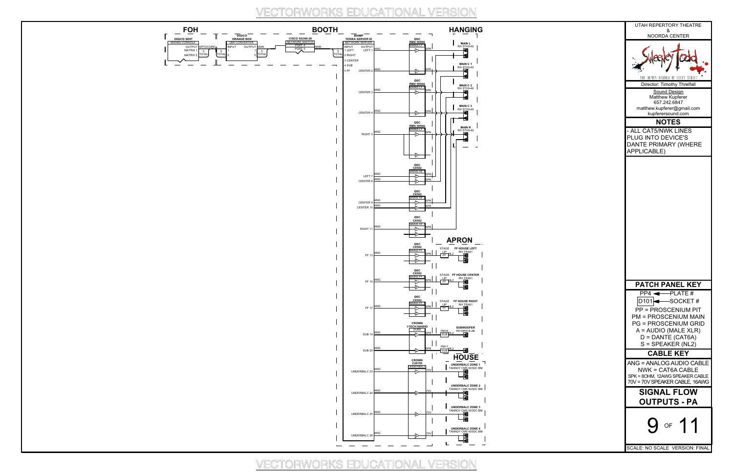

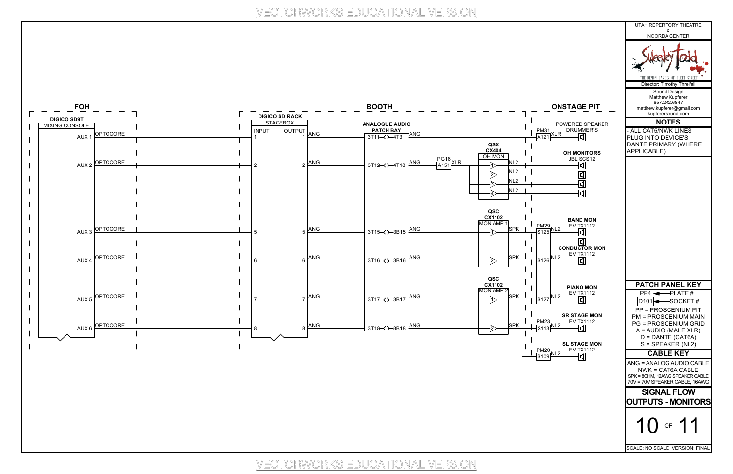